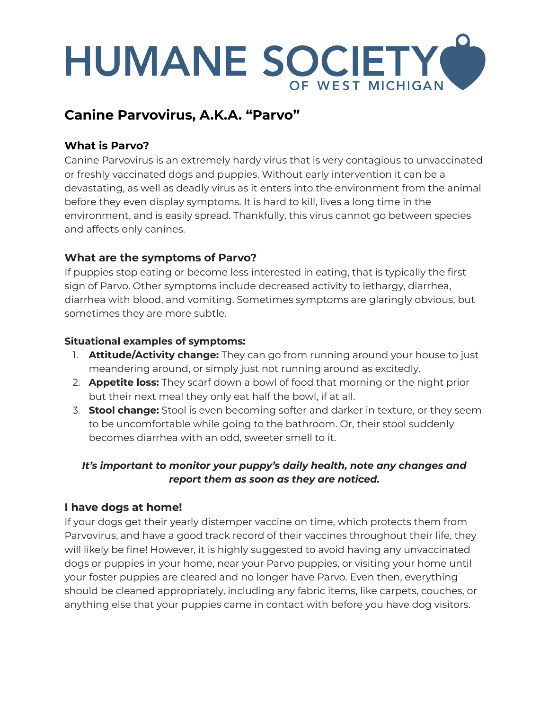# HUMANE SOCIETY OF WEST MICHIGAN

# **Canine Parvovirus, A.K.A. "Parvo"**

# **What is Parvo?**

Canine Parvovirus is an extremely hardy virus that is very contagious to unvaccinated or freshly vaccinated dogs and puppies. Without early intervention it can be a devastating, as well as deadly virus as it enters into the environment from the animal before they even display symptoms. It is hard to kill, lives a long time in the environment, and is easily spread. Thankfully, this virus cannot go between species and affects only canines.

# **What are the symptoms of Parvo?**

If puppies stop eating or become less interested in eating, that is typically the first sign of Parvo. Other symptoms include decreased activity to lethargy, diarrhea, diarrhea with blood, and vomiting. Sometimes symptoms are glaringly obvious, but sometimes they are more subtle.

#### **Situational examples of symptoms:**

- 1. **Attitude/Activity change:** They can go from running around your house to just meandering around, or simply just not running around as excitedly.
- 2. **Appetite loss:** They scarf down a bowl of food that morning or the night prior but their next meal they only eat half the bowl, if at all.
- 3. **Stool change:** Stool is even becoming softer and darker in texture, or they seem to be uncomfortable while going to the bathroom. Or, their stool suddenly becomes diarrhea with an odd, sweeter smell to it.

#### *It's important to monitor your puppy's daily health, note any changes and report them as soon as they are noticed.*

#### **I have dogs at home!**

If your dogs get their yearly distemper vaccine on time, which protects them from Parvovirus, and have a good track record of their vaccines throughout their life, they will likely be fine! However, it is highly suggested to avoid having any unvaccinated dogs or puppies in your home, near your Parvo puppies, or visiting your home until your foster puppies are cleared and no longer have Parvo. Even then, everything should be cleaned appropriately, including any fabric items, like carpets, couches, or anything else that your puppies came in contact with before you have dog visitors.